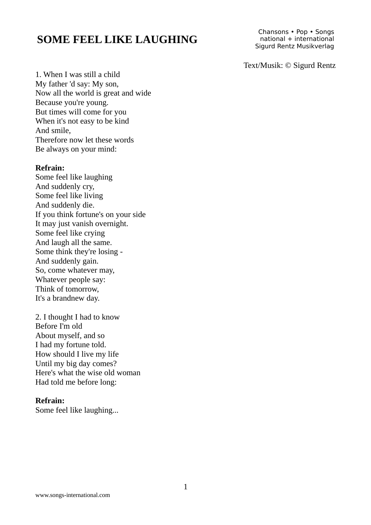## **SOME FEEL LIKE LAUGHING**

Chansons • Pop • Songs national + international Sigurd Rentz Musikverlag

Text/Musik: © Sigurd Rentz

1. When I was still a child My father 'd say: My son, Now all the world is great and wide Because you're young. But times will come for you When it's not easy to be kind And smile, Therefore now let these words Be always on your mind:

### **Refrain:**

Some feel like laughing And suddenly cry, Some feel like living And suddenly die. If you think fortune's on your side It may just vanish overnight. Some feel like crying And laugh all the same. Some think they're losing - And suddenly gain. So, come whatever may, Whatever people say: Think of tomorrow, It's a brandnew day.

2. I thought I had to know Before I'm old About myself, and so I had my fortune told. How should I live my life Until my big day comes? Here's what the wise old woman Had told me before long:

## **Refrain:**

Some feel like laughing...